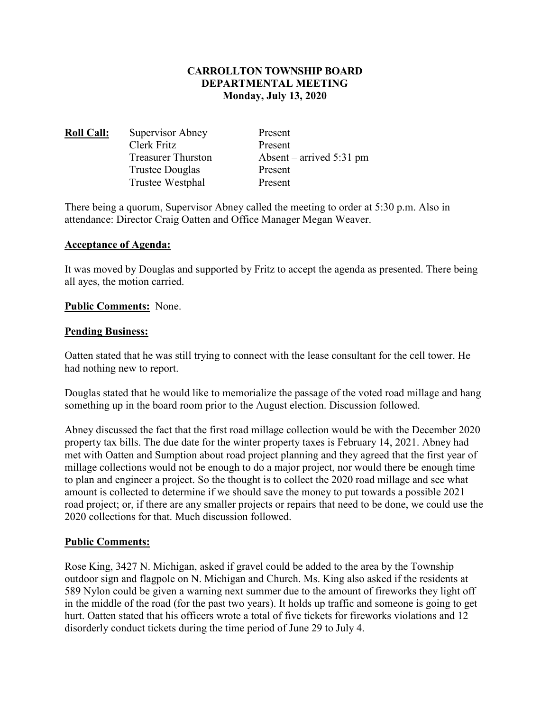## **CARROLLTON TOWNSHIP BOARD DEPARTMENTAL MEETING Monday, July 13, 2020**

| <b>Roll Call:</b> | Supervisor Abney          | Present                    |
|-------------------|---------------------------|----------------------------|
|                   | Clerk Fritz               | Present                    |
|                   | <b>Treasurer Thurston</b> | Absent – arrived $5:31$ pm |
|                   | Trustee Douglas           | Present                    |
|                   | Trustee Westphal          | Present                    |
|                   |                           |                            |

There being a quorum, Supervisor Abney called the meeting to order at 5:30 p.m. Also in attendance: Director Craig Oatten and Office Manager Megan Weaver.

### **Acceptance of Agenda:**

It was moved by Douglas and supported by Fritz to accept the agenda as presented. There being all ayes, the motion carried.

### **Public Comments:** None.

### **Pending Business:**

Oatten stated that he was still trying to connect with the lease consultant for the cell tower. He had nothing new to report.

Douglas stated that he would like to memorialize the passage of the voted road millage and hang something up in the board room prior to the August election. Discussion followed.

Abney discussed the fact that the first road millage collection would be with the December 2020 property tax bills. The due date for the winter property taxes is February 14, 2021. Abney had met with Oatten and Sumption about road project planning and they agreed that the first year of millage collections would not be enough to do a major project, nor would there be enough time to plan and engineer a project. So the thought is to collect the 2020 road millage and see what amount is collected to determine if we should save the money to put towards a possible 2021 road project; or, if there are any smaller projects or repairs that need to be done, we could use the 2020 collections for that. Much discussion followed.

#### **Public Comments:**

Rose King, 3427 N. Michigan, asked if gravel could be added to the area by the Township outdoor sign and flagpole on N. Michigan and Church. Ms. King also asked if the residents at 589 Nylon could be given a warning next summer due to the amount of fireworks they light off in the middle of the road (for the past two years). It holds up traffic and someone is going to get hurt. Oatten stated that his officers wrote a total of five tickets for fireworks violations and 12 disorderly conduct tickets during the time period of June 29 to July 4.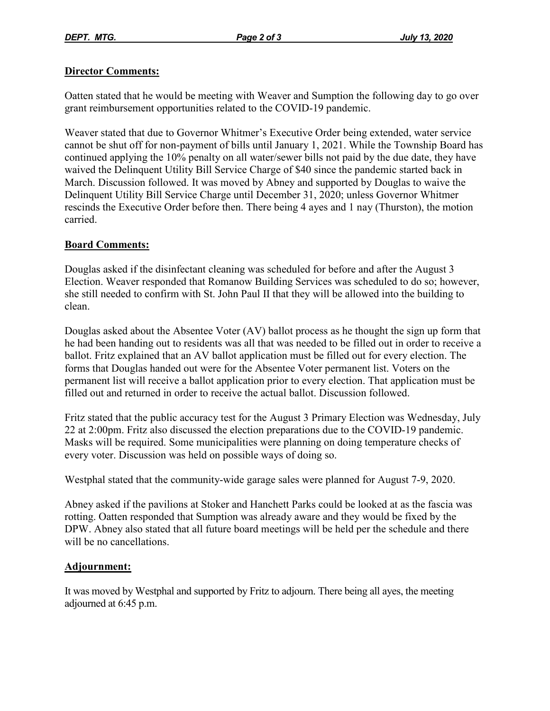## **Director Comments:**

Oatten stated that he would be meeting with Weaver and Sumption the following day to go over grant reimbursement opportunities related to the COVID-19 pandemic.

Weaver stated that due to Governor Whitmer's Executive Order being extended, water service cannot be shut off for non-payment of bills until January 1, 2021. While the Township Board has continued applying the 10% penalty on all water/sewer bills not paid by the due date, they have waived the Delinquent Utility Bill Service Charge of \$40 since the pandemic started back in March. Discussion followed. It was moved by Abney and supported by Douglas to waive the Delinquent Utility Bill Service Charge until December 31, 2020; unless Governor Whitmer rescinds the Executive Order before then. There being 4 ayes and 1 nay (Thurston), the motion carried.

# **Board Comments:**

Douglas asked if the disinfectant cleaning was scheduled for before and after the August 3 Election. Weaver responded that Romanow Building Services was scheduled to do so; however, she still needed to confirm with St. John Paul II that they will be allowed into the building to clean.

Douglas asked about the Absentee Voter (AV) ballot process as he thought the sign up form that he had been handing out to residents was all that was needed to be filled out in order to receive a ballot. Fritz explained that an AV ballot application must be filled out for every election. The forms that Douglas handed out were for the Absentee Voter permanent list. Voters on the permanent list will receive a ballot application prior to every election. That application must be filled out and returned in order to receive the actual ballot. Discussion followed.

Fritz stated that the public accuracy test for the August 3 Primary Election was Wednesday, July 22 at 2:00pm. Fritz also discussed the election preparations due to the COVID-19 pandemic. Masks will be required. Some municipalities were planning on doing temperature checks of every voter. Discussion was held on possible ways of doing so.

Westphal stated that the community-wide garage sales were planned for August 7-9, 2020.

Abney asked if the pavilions at Stoker and Hanchett Parks could be looked at as the fascia was rotting. Oatten responded that Sumption was already aware and they would be fixed by the DPW. Abney also stated that all future board meetings will be held per the schedule and there will be no cancellations.

# **Adjournment:**

It was moved by Westphal and supported by Fritz to adjourn. There being all ayes, the meeting adjourned at 6:45 p.m.